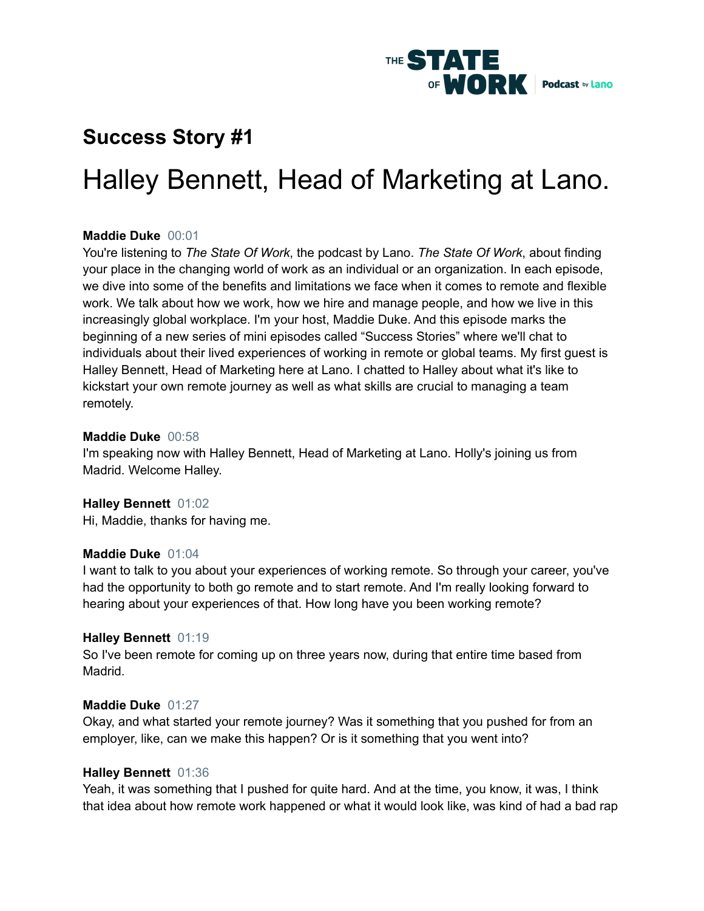

# **Success Story #1**

# Halley Bennett, Head of Marketing at Lano.

#### **Maddie Duke** 00:01

You're listening to *The State Of Work*, the podcast by Lano. *The State Of Work*, about finding your place in the changing world of work as an individual or an organization. In each episode, we dive into some of the benefits and limitations we face when it comes to remote and flexible work. We talk about how we work, how we hire and manage people, and how we live in this increasingly global workplace. I'm your host, Maddie Duke. And this episode marks the beginning of a new series of mini episodes called "Success Stories" where we'll chat to individuals about their lived experiences of working in remote or global teams. My first guest is Halley Bennett, Head of Marketing here at Lano. I chatted to Halley about what it's like to kickstart your own remote journey as well as what skills are crucial to managing a team remotely.

#### **Maddie Duke** 00:58

I'm speaking now with Halley Bennett, Head of Marketing at Lano. Holly's joining us from Madrid. Welcome Halley.

#### **Halley Bennett** 01:02

Hi, Maddie, thanks for having me.

#### **Maddie Duke** 01:04

I want to talk to you about your experiences of working remote. So through your career, you've had the opportunity to both go remote and to start remote. And I'm really looking forward to hearing about your experiences of that. How long have you been working remote?

#### **Halley Bennett** 01:19

So I've been remote for coming up on three years now, during that entire time based from Madrid.

#### **Maddie Duke** 01:27

Okay, and what started your remote journey? Was it something that you pushed for from an employer, like, can we make this happen? Or is it something that you went into?

#### **Halley Bennett** 01:36

Yeah, it was something that I pushed for quite hard. And at the time, you know, it was, I think that idea about how remote work happened or what it would look like, was kind of had a bad rap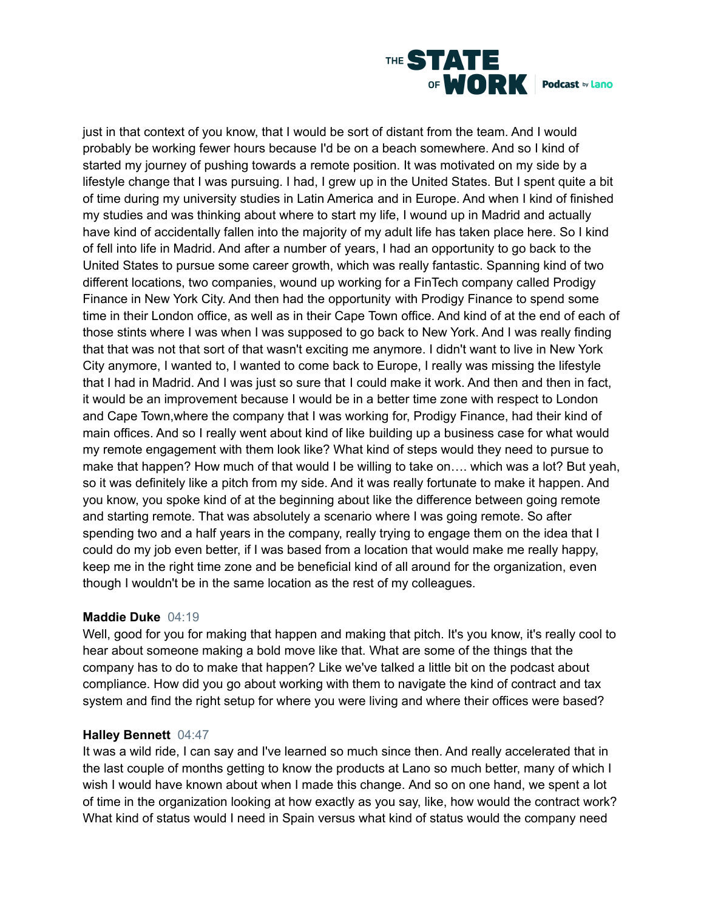

just in that context of you know, that I would be sort of distant from the team. And I would probably be working fewer hours because I'd be on a beach somewhere. And so I kind of started my journey of pushing towards a remote position. It was motivated on my side by a lifestyle change that I was pursuing. I had, I grew up in the United States. But I spent quite a bit of time during my university studies in Latin America and in Europe. And when I kind of finished my studies and was thinking about where to start my life, I wound up in Madrid and actually have kind of accidentally fallen into the majority of my adult life has taken place here. So I kind of fell into life in Madrid. And after a number of years, I had an opportunity to go back to the United States to pursue some career growth, which was really fantastic. Spanning kind of two different locations, two companies, wound up working for a FinTech company called Prodigy Finance in New York City. And then had the opportunity with Prodigy Finance to spend some time in their London office, as well as in their Cape Town office. And kind of at the end of each of those stints where I was when I was supposed to go back to New York. And I was really finding that that was not that sort of that wasn't exciting me anymore. I didn't want to live in New York City anymore, I wanted to, I wanted to come back to Europe, I really was missing the lifestyle that I had in Madrid. And I was just so sure that I could make it work. And then and then in fact, it would be an improvement because I would be in a better time zone with respect to London and Cape Town,where the company that I was working for, Prodigy Finance, had their kind of main offices. And so I really went about kind of like building up a business case for what would my remote engagement with them look like? What kind of steps would they need to pursue to make that happen? How much of that would I be willing to take on.... which was a lot? But yeah, so it was definitely like a pitch from my side. And it was really fortunate to make it happen. And you know, you spoke kind of at the beginning about like the difference between going remote and starting remote. That was absolutely a scenario where I was going remote. So after spending two and a half years in the company, really trying to engage them on the idea that I could do my job even better, if I was based from a location that would make me really happy, keep me in the right time zone and be beneficial kind of all around for the organization, even though I wouldn't be in the same location as the rest of my colleagues.

#### **Maddie Duke** 04:19

Well, good for you for making that happen and making that pitch. It's you know, it's really cool to hear about someone making a bold move like that. What are some of the things that the company has to do to make that happen? Like we've talked a little bit on the podcast about compliance. How did you go about working with them to navigate the kind of contract and tax system and find the right setup for where you were living and where their offices were based?

#### **Halley Bennett** 04:47

It was a wild ride, I can say and I've learned so much since then. And really accelerated that in the last couple of months getting to know the products at Lano so much better, many of which I wish I would have known about when I made this change. And so on one hand, we spent a lot of time in the organization looking at how exactly as you say, like, how would the contract work? What kind of status would I need in Spain versus what kind of status would the company need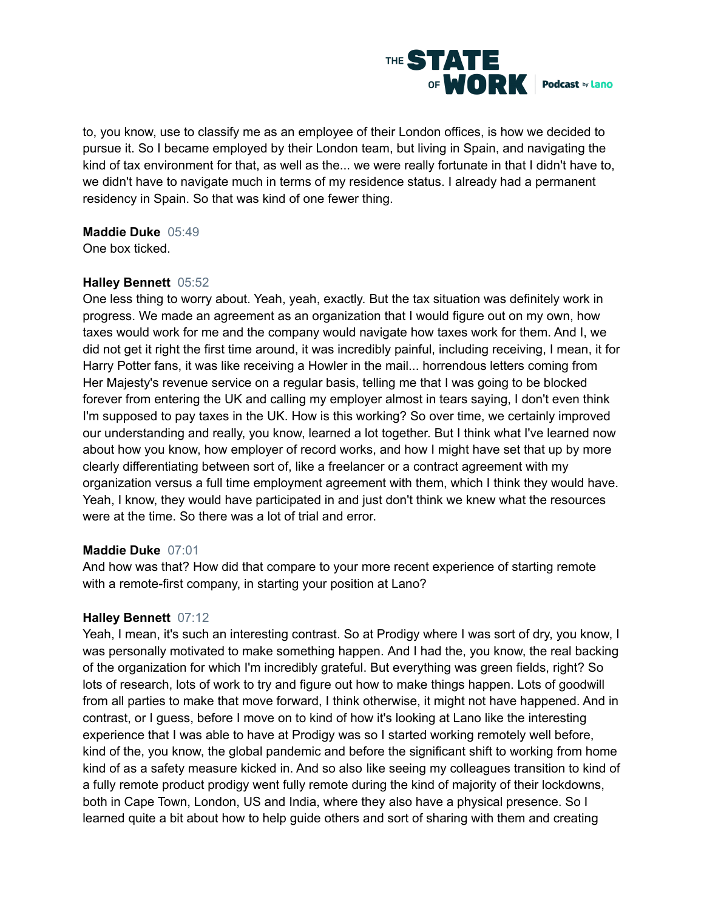

to, you know, use to classify me as an employee of their London offices, is how we decided to pursue it. So I became employed by their London team, but living in Spain, and navigating the kind of tax environment for that, as well as the... we were really fortunate in that I didn't have to, we didn't have to navigate much in terms of my residence status. I already had a permanent residency in Spain. So that was kind of one fewer thing.

#### **Maddie Duke** 05:49

One box ticked.

### **Halley Bennett** 05:52

One less thing to worry about. Yeah, yeah, exactly. But the tax situation was definitely work in progress. We made an agreement as an organization that I would figure out on my own, how taxes would work for me and the company would navigate how taxes work for them. And I, we did not get it right the first time around, it was incredibly painful, including receiving, I mean, it for Harry Potter fans, it was like receiving a Howler in the mail... horrendous letters coming from Her Majesty's revenue service on a regular basis, telling me that I was going to be blocked forever from entering the UK and calling my employer almost in tears saying, I don't even think I'm supposed to pay taxes in the UK. How is this working? So over time, we certainly improved our understanding and really, you know, learned a lot together. But I think what I've learned now about how you know, how employer of record works, and how I might have set that up by more clearly differentiating between sort of, like a freelancer or a contract agreement with my organization versus a full time employment agreement with them, which I think they would have. Yeah, I know, they would have participated in and just don't think we knew what the resources were at the time. So there was a lot of trial and error.

#### **Maddie Duke** 07:01

And how was that? How did that compare to your more recent experience of starting remote with a remote-first company, in starting your position at Lano?

#### **Halley Bennett** 07:12

Yeah, I mean, it's such an interesting contrast. So at Prodigy where I was sort of dry, you know, I was personally motivated to make something happen. And I had the, you know, the real backing of the organization for which I'm incredibly grateful. But everything was green fields, right? So lots of research, lots of work to try and figure out how to make things happen. Lots of goodwill from all parties to make that move forward, I think otherwise, it might not have happened. And in contrast, or I guess, before I move on to kind of how it's looking at Lano like the interesting experience that I was able to have at Prodigy was so I started working remotely well before, kind of the, you know, the global pandemic and before the significant shift to working from home kind of as a safety measure kicked in. And so also like seeing my colleagues transition to kind of a fully remote product prodigy went fully remote during the kind of majority of their lockdowns, both in Cape Town, London, US and India, where they also have a physical presence. So I learned quite a bit about how to help guide others and sort of sharing with them and creating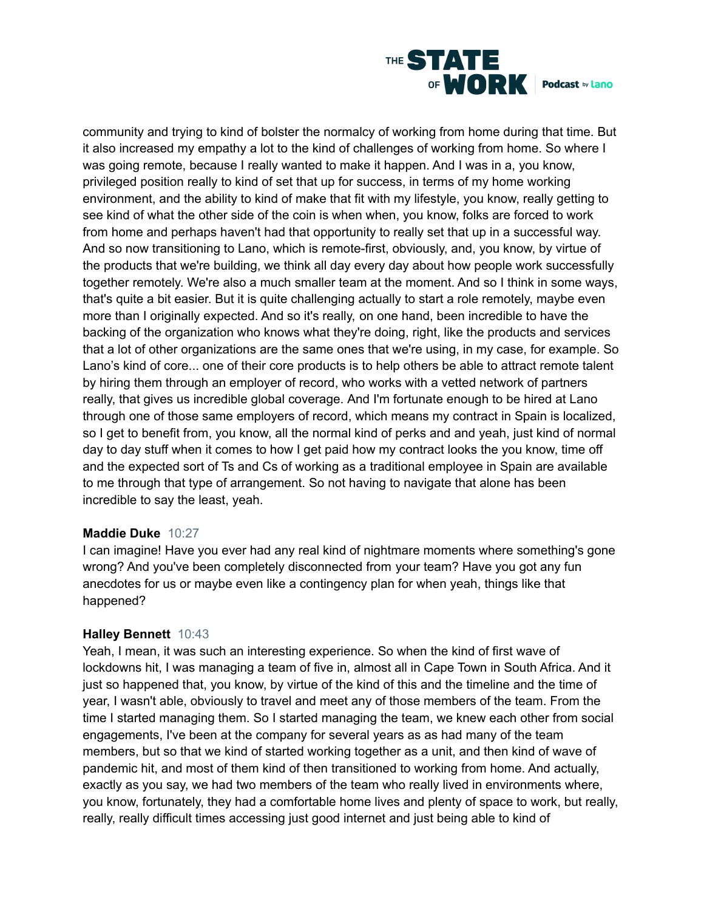

community and trying to kind of bolster the normalcy of working from home during that time. But it also increased my empathy a lot to the kind of challenges of working from home. So where I was going remote, because I really wanted to make it happen. And I was in a, you know, privileged position really to kind of set that up for success, in terms of my home working environment, and the ability to kind of make that fit with my lifestyle, you know, really getting to see kind of what the other side of the coin is when when, you know, folks are forced to work from home and perhaps haven't had that opportunity to really set that up in a successful way. And so now transitioning to Lano, which is remote-first, obviously, and, you know, by virtue of the products that we're building, we think all day every day about how people work successfully together remotely. We're also a much smaller team at the moment. And so I think in some ways, that's quite a bit easier. But it is quite challenging actually to start a role remotely, maybe even more than I originally expected. And so it's really, on one hand, been incredible to have the backing of the organization who knows what they're doing, right, like the products and services that a lot of other organizations are the same ones that we're using, in my case, for example. So Lano's kind of core... one of their core products is to help others be able to attract remote talent by hiring them through an employer of record, who works with a vetted network of partners really, that gives us incredible global coverage. And I'm fortunate enough to be hired at Lano through one of those same employers of record, which means my contract in Spain is localized, so I get to benefit from, you know, all the normal kind of perks and and yeah, just kind of normal day to day stuff when it comes to how I get paid how my contract looks the you know, time off and the expected sort of Ts and Cs of working as a traditional employee in Spain are available to me through that type of arrangement. So not having to navigate that alone has been incredible to say the least, yeah.

#### **Maddie Duke** 10:27

I can imagine! Have you ever had any real kind of nightmare moments where something's gone wrong? And you've been completely disconnected from your team? Have you got any fun anecdotes for us or maybe even like a contingency plan for when yeah, things like that happened?

#### **Halley Bennett** 10:43

Yeah, I mean, it was such an interesting experience. So when the kind of first wave of lockdowns hit, I was managing a team of five in, almost all in Cape Town in South Africa. And it just so happened that, you know, by virtue of the kind of this and the timeline and the time of year, I wasn't able, obviously to travel and meet any of those members of the team. From the time I started managing them. So I started managing the team, we knew each other from social engagements, I've been at the company for several years as as had many of the team members, but so that we kind of started working together as a unit, and then kind of wave of pandemic hit, and most of them kind of then transitioned to working from home. And actually, exactly as you say, we had two members of the team who really lived in environments where, you know, fortunately, they had a comfortable home lives and plenty of space to work, but really, really, really difficult times accessing just good internet and just being able to kind of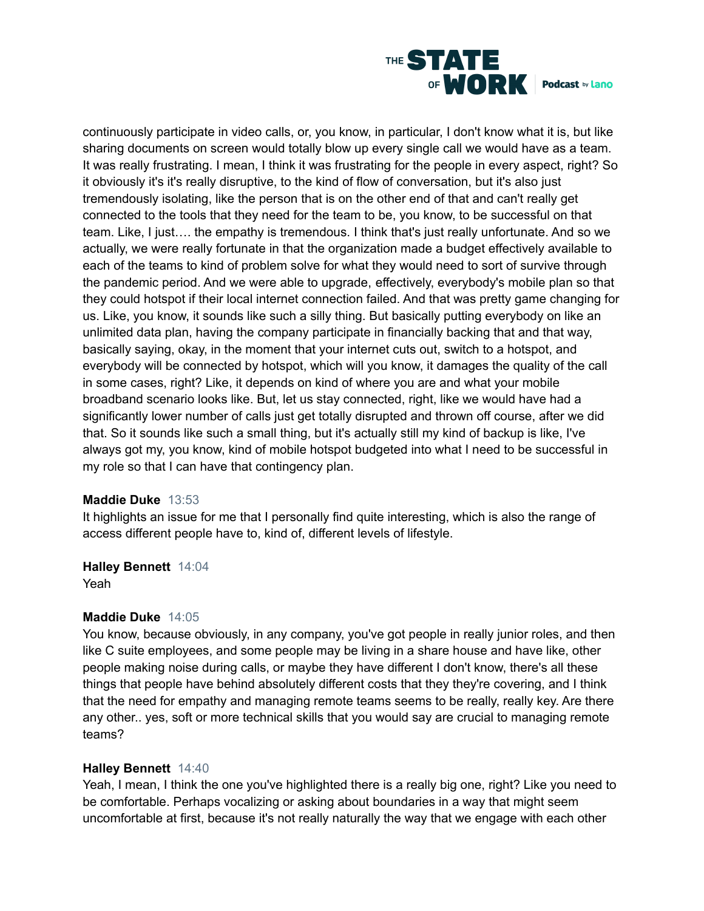

continuously participate in video calls, or, you know, in particular, I don't know what it is, but like sharing documents on screen would totally blow up every single call we would have as a team. It was really frustrating. I mean, I think it was frustrating for the people in every aspect, right? So it obviously it's it's really disruptive, to the kind of flow of conversation, but it's also just tremendously isolating, like the person that is on the other end of that and can't really get connected to the tools that they need for the team to be, you know, to be successful on that team. Like, I just…. the empathy is tremendous. I think that's just really unfortunate. And so we actually, we were really fortunate in that the organization made a budget effectively available to each of the teams to kind of problem solve for what they would need to sort of survive through the pandemic period. And we were able to upgrade, effectively, everybody's mobile plan so that they could hotspot if their local internet connection failed. And that was pretty game changing for us. Like, you know, it sounds like such a silly thing. But basically putting everybody on like an unlimited data plan, having the company participate in financially backing that and that way, basically saying, okay, in the moment that your internet cuts out, switch to a hotspot, and everybody will be connected by hotspot, which will you know, it damages the quality of the call in some cases, right? Like, it depends on kind of where you are and what your mobile broadband scenario looks like. But, let us stay connected, right, like we would have had a significantly lower number of calls just get totally disrupted and thrown off course, after we did that. So it sounds like such a small thing, but it's actually still my kind of backup is like, I've always got my, you know, kind of mobile hotspot budgeted into what I need to be successful in my role so that I can have that contingency plan.

#### **Maddie Duke** 13:53

It highlights an issue for me that I personally find quite interesting, which is also the range of access different people have to, kind of, different levels of lifestyle.

#### **Halley Bennett** 14:04

Yeah

#### **Maddie Duke** 14:05

You know, because obviously, in any company, you've got people in really junior roles, and then like C suite employees, and some people may be living in a share house and have like, other people making noise during calls, or maybe they have different I don't know, there's all these things that people have behind absolutely different costs that they they're covering, and I think that the need for empathy and managing remote teams seems to be really, really key. Are there any other.. yes, soft or more technical skills that you would say are crucial to managing remote teams?

#### **Halley Bennett** 14:40

Yeah, I mean, I think the one you've highlighted there is a really big one, right? Like you need to be comfortable. Perhaps vocalizing or asking about boundaries in a way that might seem uncomfortable at first, because it's not really naturally the way that we engage with each other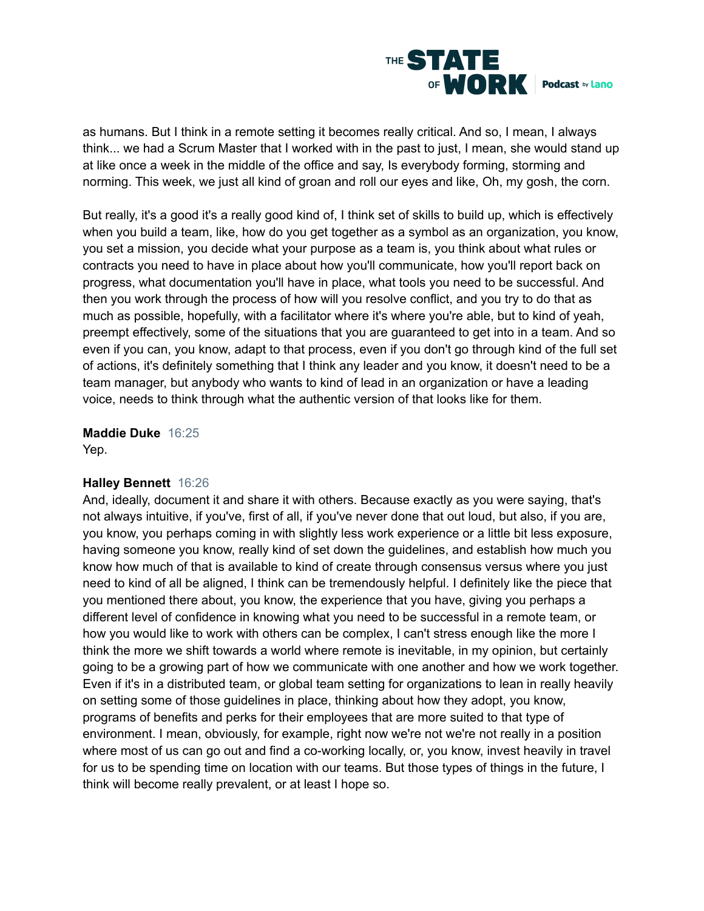

as humans. But I think in a remote setting it becomes really critical. And so, I mean, I always think... we had a Scrum Master that I worked with in the past to just, I mean, she would stand up at like once a week in the middle of the office and say, Is everybody forming, storming and norming. This week, we just all kind of groan and roll our eyes and like, Oh, my gosh, the corn.

But really, it's a good it's a really good kind of, I think set of skills to build up, which is effectively when you build a team, like, how do you get together as a symbol as an organization, you know, you set a mission, you decide what your purpose as a team is, you think about what rules or contracts you need to have in place about how you'll communicate, how you'll report back on progress, what documentation you'll have in place, what tools you need to be successful. And then you work through the process of how will you resolve conflict, and you try to do that as much as possible, hopefully, with a facilitator where it's where you're able, but to kind of yeah, preempt effectively, some of the situations that you are guaranteed to get into in a team. And so even if you can, you know, adapt to that process, even if you don't go through kind of the full set of actions, it's definitely something that I think any leader and you know, it doesn't need to be a team manager, but anybody who wants to kind of lead in an organization or have a leading voice, needs to think through what the authentic version of that looks like for them.

# **Maddie Duke** 16:25

Yep.

## **Halley Bennett** 16:26

And, ideally, document it and share it with others. Because exactly as you were saying, that's not always intuitive, if you've, first of all, if you've never done that out loud, but also, if you are, you know, you perhaps coming in with slightly less work experience or a little bit less exposure, having someone you know, really kind of set down the guidelines, and establish how much you know how much of that is available to kind of create through consensus versus where you just need to kind of all be aligned, I think can be tremendously helpful. I definitely like the piece that you mentioned there about, you know, the experience that you have, giving you perhaps a different level of confidence in knowing what you need to be successful in a remote team, or how you would like to work with others can be complex, I can't stress enough like the more I think the more we shift towards a world where remote is inevitable, in my opinion, but certainly going to be a growing part of how we communicate with one another and how we work together. Even if it's in a distributed team, or global team setting for organizations to lean in really heavily on setting some of those guidelines in place, thinking about how they adopt, you know, programs of benefits and perks for their employees that are more suited to that type of environment. I mean, obviously, for example, right now we're not we're not really in a position where most of us can go out and find a co-working locally, or, you know, invest heavily in travel for us to be spending time on location with our teams. But those types of things in the future, I think will become really prevalent, or at least I hope so.